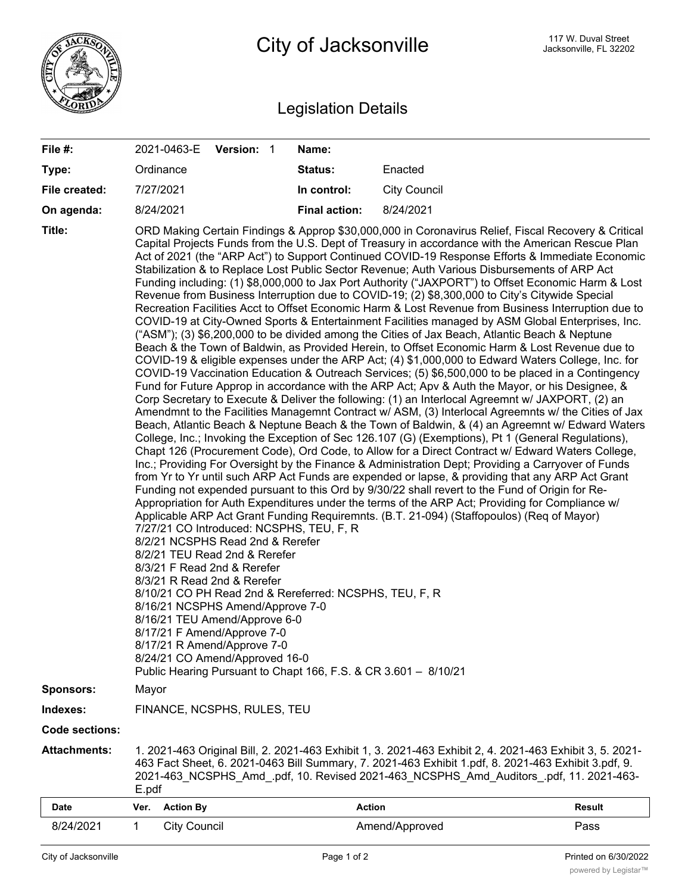

## Legislation Details

| File #:                           | 2021-0463-E                                                                                                                                                                                                                                                                                                                                                                                                                                                                                                                                                                                                                                                                                                                                                                                                                                                                                                                                                                                                                                                                                                                                                                                                                                                                                                                                                                                                                                                                                                                                                                                                                                                                                                                                                                                                                                                                                                                                                                                                                                                                                                                                                                                                                                                                                                                                                                                                                                                                                                                                                                                                                                                                                                                                                                                                                                                             | Version: 1          |  | Name:                |                     |               |  |  |
|-----------------------------------|-------------------------------------------------------------------------------------------------------------------------------------------------------------------------------------------------------------------------------------------------------------------------------------------------------------------------------------------------------------------------------------------------------------------------------------------------------------------------------------------------------------------------------------------------------------------------------------------------------------------------------------------------------------------------------------------------------------------------------------------------------------------------------------------------------------------------------------------------------------------------------------------------------------------------------------------------------------------------------------------------------------------------------------------------------------------------------------------------------------------------------------------------------------------------------------------------------------------------------------------------------------------------------------------------------------------------------------------------------------------------------------------------------------------------------------------------------------------------------------------------------------------------------------------------------------------------------------------------------------------------------------------------------------------------------------------------------------------------------------------------------------------------------------------------------------------------------------------------------------------------------------------------------------------------------------------------------------------------------------------------------------------------------------------------------------------------------------------------------------------------------------------------------------------------------------------------------------------------------------------------------------------------------------------------------------------------------------------------------------------------------------------------------------------------------------------------------------------------------------------------------------------------------------------------------------------------------------------------------------------------------------------------------------------------------------------------------------------------------------------------------------------------------------------------------------------------------------------------------------------------|---------------------|--|----------------------|---------------------|---------------|--|--|
| Type:                             | Ordinance                                                                                                                                                                                                                                                                                                                                                                                                                                                                                                                                                                                                                                                                                                                                                                                                                                                                                                                                                                                                                                                                                                                                                                                                                                                                                                                                                                                                                                                                                                                                                                                                                                                                                                                                                                                                                                                                                                                                                                                                                                                                                                                                                                                                                                                                                                                                                                                                                                                                                                                                                                                                                                                                                                                                                                                                                                                               |                     |  | <b>Status:</b>       | Enacted             |               |  |  |
| File created:                     | 7/27/2021                                                                                                                                                                                                                                                                                                                                                                                                                                                                                                                                                                                                                                                                                                                                                                                                                                                                                                                                                                                                                                                                                                                                                                                                                                                                                                                                                                                                                                                                                                                                                                                                                                                                                                                                                                                                                                                                                                                                                                                                                                                                                                                                                                                                                                                                                                                                                                                                                                                                                                                                                                                                                                                                                                                                                                                                                                                               |                     |  | In control:          | <b>City Council</b> |               |  |  |
| On agenda:                        | 8/24/2021                                                                                                                                                                                                                                                                                                                                                                                                                                                                                                                                                                                                                                                                                                                                                                                                                                                                                                                                                                                                                                                                                                                                                                                                                                                                                                                                                                                                                                                                                                                                                                                                                                                                                                                                                                                                                                                                                                                                                                                                                                                                                                                                                                                                                                                                                                                                                                                                                                                                                                                                                                                                                                                                                                                                                                                                                                                               |                     |  | <b>Final action:</b> | 8/24/2021           |               |  |  |
| Title:                            | ORD Making Certain Findings & Approp \$30,000,000 in Coronavirus Relief, Fiscal Recovery & Critical<br>Capital Projects Funds from the U.S. Dept of Treasury in accordance with the American Rescue Plan<br>Act of 2021 (the "ARP Act") to Support Continued COVID-19 Response Efforts & Immediate Economic<br>Stabilization & to Replace Lost Public Sector Revenue; Auth Various Disbursements of ARP Act<br>Funding including: (1) \$8,000,000 to Jax Port Authority ("JAXPORT") to Offset Economic Harm & Lost<br>Revenue from Business Interruption due to COVID-19; (2) \$8,300,000 to City's Citywide Special<br>Recreation Facilities Acct to Offset Economic Harm & Lost Revenue from Business Interruption due to<br>COVID-19 at City-Owned Sports & Entertainment Facilities managed by ASM Global Enterprises, Inc.<br>("ASM"); (3) \$6,200,000 to be divided among the Cities of Jax Beach, Atlantic Beach & Neptune<br>Beach & the Town of Baldwin, as Provided Herein, to Offset Economic Harm & Lost Revenue due to<br>COVID-19 & eligible expenses under the ARP Act; (4) \$1,000,000 to Edward Waters College, Inc. for<br>COVID-19 Vaccination Education & Outreach Services; (5) \$6,500,000 to be placed in a Contingency<br>Fund for Future Approp in accordance with the ARP Act; Apv & Auth the Mayor, or his Designee, &<br>Corp Secretary to Execute & Deliver the following: (1) an Interlocal Agreemnt w/ JAXPORT, (2) an<br>Amendmnt to the Facilities Managemnt Contract w/ ASM, (3) Interlocal Agreemnts w/ the Cities of Jax<br>Beach, Atlantic Beach & Neptune Beach & the Town of Baldwin, & (4) an Agreemnt w/ Edward Waters<br>College, Inc.; Invoking the Exception of Sec 126.107 (G) (Exemptions), Pt 1 (General Regulations),<br>Chapt 126 (Procurement Code), Ord Code, to Allow for a Direct Contract w/ Edward Waters College,<br>Inc.; Providing For Oversight by the Finance & Administration Dept; Providing a Carryover of Funds<br>from Yr to Yr until such ARP Act Funds are expended or lapse, & providing that any ARP Act Grant<br>Funding not expended pursuant to this Ord by 9/30/22 shall revert to the Fund of Origin for Re-<br>Appropriation for Auth Expenditures under the terms of the ARP Act; Providing for Compliance w/<br>Applicable ARP Act Grant Funding Requiremnts. (B.T. 21-094) (Staffopoulos) (Req of Mayor)<br>7/27/21 CO Introduced: NCSPHS, TEU, F, R<br>8/2/21 NCSPHS Read 2nd & Rerefer<br>8/2/21 TEU Read 2nd & Rerefer<br>8/3/21 F Read 2nd & Rerefer<br>8/3/21 R Read 2nd & Rerefer<br>8/10/21 CO PH Read 2nd & Rereferred: NCSPHS, TEU, F, R<br>8/16/21 NCSPHS Amend/Approve 7-0<br>8/16/21 TEU Amend/Approve 6-0<br>8/17/21 F Amend/Approve 7-0<br>8/17/21 R Amend/Approve 7-0<br>8/24/21 CO Amend/Approved 16-0<br>Public Hearing Pursuant to Chapt 166, F.S. & CR 3.601 - 8/10/21 |                     |  |                      |                     |               |  |  |
| <b>Sponsors:</b>                  | Mayor                                                                                                                                                                                                                                                                                                                                                                                                                                                                                                                                                                                                                                                                                                                                                                                                                                                                                                                                                                                                                                                                                                                                                                                                                                                                                                                                                                                                                                                                                                                                                                                                                                                                                                                                                                                                                                                                                                                                                                                                                                                                                                                                                                                                                                                                                                                                                                                                                                                                                                                                                                                                                                                                                                                                                                                                                                                                   |                     |  |                      |                     |               |  |  |
| Indexes:<br><b>Code sections:</b> | FINANCE, NCSPHS, RULES, TEU                                                                                                                                                                                                                                                                                                                                                                                                                                                                                                                                                                                                                                                                                                                                                                                                                                                                                                                                                                                                                                                                                                                                                                                                                                                                                                                                                                                                                                                                                                                                                                                                                                                                                                                                                                                                                                                                                                                                                                                                                                                                                                                                                                                                                                                                                                                                                                                                                                                                                                                                                                                                                                                                                                                                                                                                                                             |                     |  |                      |                     |               |  |  |
| <b>Attachments:</b>               | 1. 2021-463 Original Bill, 2. 2021-463 Exhibit 1, 3. 2021-463 Exhibit 2, 4. 2021-463 Exhibit 3, 5. 2021-<br>463 Fact Sheet, 6. 2021-0463 Bill Summary, 7. 2021-463 Exhibit 1.pdf, 8. 2021-463 Exhibit 3.pdf, 9.<br>2021-463 NCSPHS Amd .pdf, 10. Revised 2021-463 NCSPHS Amd Auditors .pdf, 11. 2021-463-<br>E.pdf                                                                                                                                                                                                                                                                                                                                                                                                                                                                                                                                                                                                                                                                                                                                                                                                                                                                                                                                                                                                                                                                                                                                                                                                                                                                                                                                                                                                                                                                                                                                                                                                                                                                                                                                                                                                                                                                                                                                                                                                                                                                                                                                                                                                                                                                                                                                                                                                                                                                                                                                                      |                     |  |                      |                     |               |  |  |
| Date                              | <b>Action By</b><br>Ver.                                                                                                                                                                                                                                                                                                                                                                                                                                                                                                                                                                                                                                                                                                                                                                                                                                                                                                                                                                                                                                                                                                                                                                                                                                                                                                                                                                                                                                                                                                                                                                                                                                                                                                                                                                                                                                                                                                                                                                                                                                                                                                                                                                                                                                                                                                                                                                                                                                                                                                                                                                                                                                                                                                                                                                                                                                                |                     |  | <b>Action</b>        |                     | <b>Result</b> |  |  |
| 8/24/2021                         | $\mathbf{1}$                                                                                                                                                                                                                                                                                                                                                                                                                                                                                                                                                                                                                                                                                                                                                                                                                                                                                                                                                                                                                                                                                                                                                                                                                                                                                                                                                                                                                                                                                                                                                                                                                                                                                                                                                                                                                                                                                                                                                                                                                                                                                                                                                                                                                                                                                                                                                                                                                                                                                                                                                                                                                                                                                                                                                                                                                                                            | <b>City Council</b> |  |                      | Amend/Approved      | Pass          |  |  |